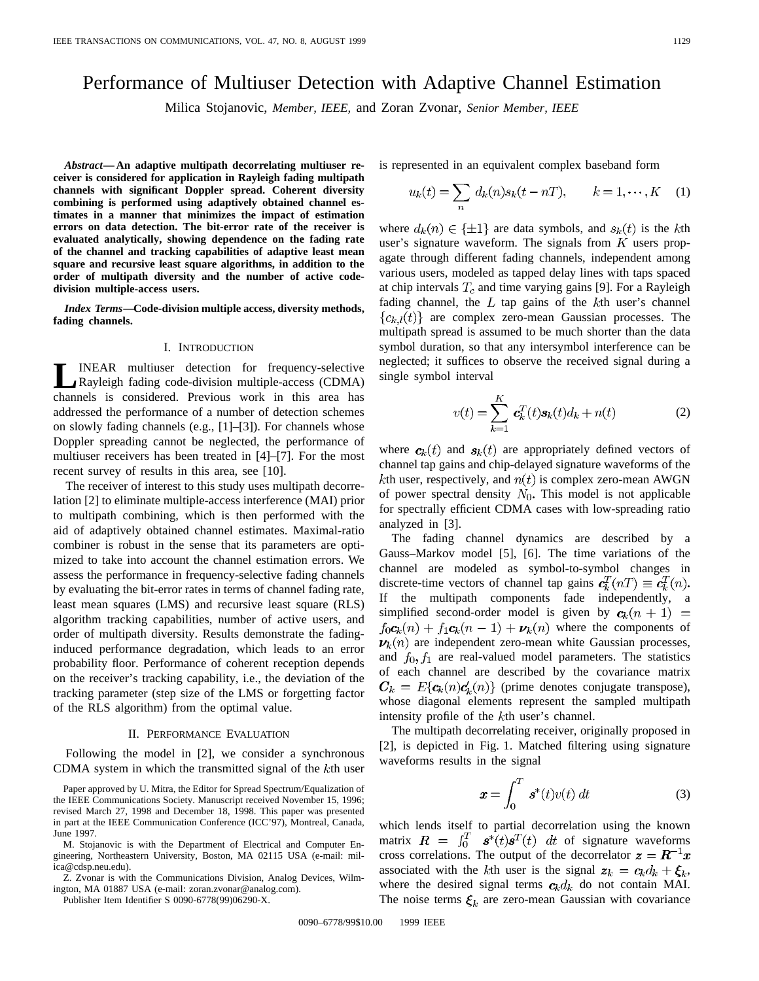# Performance of Multiuser Detection with Adaptive Channel Estimation

Milica Stojanovic, *Member, IEEE,* and Zoran Zvonar, *Senior Member, IEEE*

*Abstract—***An adaptive multipath decorrelating multiuser receiver is considered for application in Rayleigh fading multipath channels with significant Doppler spread. Coherent diversity combining is performed using adaptively obtained channel estimates in a manner that minimizes the impact of estimation errors on data detection. The bit-error rate of the receiver is evaluated analytically, showing dependence on the fading rate of the channel and tracking capabilities of adaptive least mean square and recursive least square algorithms, in addition to the order of multipath diversity and the number of active codedivision multiple-access users.**

*Index Terms—***Code-division multiple access, diversity methods, fading channels.**

#### I. INTRODUCTION

**LINEAR** multiuser detection for frequency-selective<br>Rayleigh fading code-division multiple-access (CDMA) channels is considered. Previous work in this area has addressed the performance of a number of detection schemes on slowly fading channels (e.g., [1]–[3]). For channels whose Doppler spreading cannot be neglected, the performance of multiuser receivers has been treated in [4]–[7]. For the most recent survey of results in this area, see [10].

The receiver of interest to this study uses multipath decorrelation [2] to eliminate multiple-access interference (MAI) prior to multipath combining, which is then performed with the aid of adaptively obtained channel estimates. Maximal-ratio combiner is robust in the sense that its parameters are optimized to take into account the channel estimation errors. We assess the performance in frequency-selective fading channels by evaluating the bit-error rates in terms of channel fading rate, least mean squares (LMS) and recursive least square (RLS) algorithm tracking capabilities, number of active users, and order of multipath diversity. Results demonstrate the fadinginduced performance degradation, which leads to an error probability floor. Performance of coherent reception depends on the receiver's tracking capability, i.e., the deviation of the tracking parameter (step size of the LMS or forgetting factor of the RLS algorithm) from the optimal value.

## II. PERFORMANCE EVALUATION

Following the model in [2], we consider a synchronous CDMA system in which the transmitted signal of the  $k$ th user

Z. Zvonar is with the Communications Division, Analog Devices, Wilmington, MA 01887 USA (e-mail: zoran.zvonar@analog.com).

Publisher Item Identifier S 0090-6778(99)06290-X.

is represented in an equivalent complex baseband form

$$
u_k(t) = \sum_n d_k(n)s_k(t - nT), \qquad k = 1, \cdots, K \quad (1)
$$

where  $d_k(n) \in {\pm 1}$  are data symbols, and  $s_k(t)$  is the kth user's signature waveform. The signals from  $K$  users propagate through different fading channels, independent among various users, modeled as tapped delay lines with taps spaced at chip intervals  $T_c$  and time varying gains [9]. For a Rayleigh fading channel, the  $L$  tap gains of the  $k$ th user's channel  ${c_{k,l}(t)}$  are complex zero-mean Gaussian processes. The multipath spread is assumed to be much shorter than the data symbol duration, so that any intersymbol interference can be neglected; it suffices to observe the received signal during a single symbol interval

$$
v(t) = \sum_{k=1}^{K} c_k^T(t) s_k(t) d_k + n(t)
$$
 (2)

where  $c_k(t)$  and  $s_k(t)$  are appropriately defined vectors of channel tap gains and chip-delayed signature waveforms of the kth user, respectively, and  $n(t)$  is complex zero-mean AWGN of power spectral density  $N_0$ . This model is not applicable for spectrally efficient CDMA cases with low-spreading ratio analyzed in [3].

The fading channel dynamics are described by a Gauss–Markov model [5], [6]. The time variations of the channel are modeled as symbol-to-symbol changes in discrete-time vectors of channel tap gains  $c_k^T(nT) \equiv c_k^T(n)$ . If the multipath components fade independently, a simplified second-order model is given by  $c_k(n + 1) =$  $f_0 c_k(n) + f_1 c_k(n-1) + \nu_k(n)$  where the components of  $\nu_k(n)$  are independent zero-mean white Gaussian processes, and  $f_0, f_1$  are real-valued model parameters. The statistics of each channel are described by the covariance matrix  $C_k = E\{c_k(n)c'_k(n)\}\$  (prime denotes conjugate transpose), whose diagonal elements represent the sampled multipath intensity profile of the kth user's channel.

The multipath decorrelating receiver, originally proposed in [2], is depicted in Fig. 1. Matched filtering using signature waveforms results in the signal

$$
\boldsymbol{x} = \int_0^T \boldsymbol{s}^*(t) v(t) \, dt \tag{3}
$$

which lends itself to partial decorrelation using the known matrix  $\mathbf{R} = \int_0^T \mathbf{s}^*(t)\mathbf{s}^T(t) dt$  of signature waveforms cross correlations. The output of the decorrelator  $z = R^{-1}x$ associated with the kth user is the signal  $z_k = c_k d_k + \xi_k$ , where the desired signal terms  $c_k d_k$  do not contain MAI. The noise terms  $\xi_k$  are zero-mean Gaussian with covariance

0090-6778/99\$10.00 © 1999 IEEE

Paper approved by U. Mitra, the Editor for Spread Spectrum/Equalization of the IEEE Communications Society. Manuscript received November 15, 1996; revised March 27, 1998 and December 18, 1998. This paper was presented in part at the IEEE Communication Conference (ICC'97), Montreal, Canada, June 1997.

M. Stojanovic is with the Department of Electrical and Computer Engineering, Northeastern University, Boston, MA 02115 USA (e-mail: milica@cdsp.neu.edu).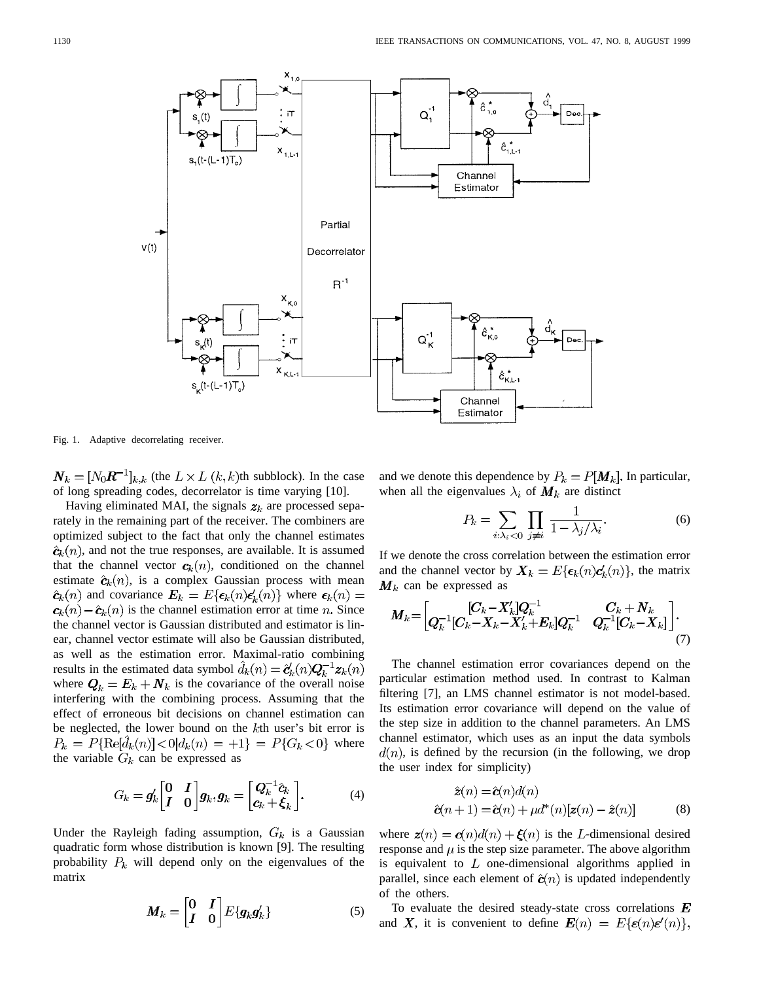

Fig. 1. Adaptive decorrelating receiver.

 $N_k = [N_0 R^{-1}]_{k,k}$  (the  $L \times L$   $(k, k)$ th subblock). In the case of long spreading codes, decorrelator is time varying [10].

Having eliminated MAI, the signals  $z_k$  are processed separately in the remaining part of the receiver. The combiners are optimized subject to the fact that only the channel estimates  $\hat{\mathbf{c}}_k(n)$ , and not the true responses, are available. It is assumed that the channel vector  $c_k(n)$ , conditioned on the channel estimate  $\hat{\mathbf{c}}_k(n)$ , is a complex Gaussian process with mean  $\hat{\mathbf{c}}_k(n)$  and covariance  $\mathbf{E}_k = E\{\epsilon_k(n)\epsilon'_k(n)\}\$  where  $\epsilon_k(n) =$  $c_k(n) - \hat{c}_k(n)$  is the channel estimation error at time n. Since the channel vector is Gaussian distributed and estimator is linear, channel vector estimate will also be Gaussian distributed, as well as the estimation error. Maximal-ratio combining results in the estimated data symbol  $\hat{d}_k(n) = \hat{e}'_k(n) Q_k^{-1} z_k(n)$ where  $Q_k = E_k + N_k$  is the covariance of the overall noise interfering with the combining process. Assuming that the effect of erroneous bit decisions on channel estimation can be neglected, the lower bound on the  $k$ th user's bit error is  $P_k = P\{\text{Re}[\hat{d}_k(n)] < 0 | d_k(n) = +1\} = P\{G_k < 0\}$  where the variable  $G_k$  can be expressed as

$$
G_k = g'_k \begin{bmatrix} 0 & I \\ I & 0 \end{bmatrix} g_k, g_k = \begin{bmatrix} Q_k^{-1} \hat{c}_k \\ c_k + \xi_k \end{bmatrix}.
$$
 (4)

Under the Rayleigh fading assumption,  $G_k$  is a Gaussian quadratic form whose distribution is known [9]. The resulting probability  $P_k$  will depend only on the eigenvalues of the matrix

$$
\boldsymbol{M}_k = \begin{bmatrix} 0 & I \\ I & 0 \end{bmatrix} E\{\boldsymbol{g}_k \boldsymbol{g}_k'\}
$$
 (5)

and we denote this dependence by  $P_k = P[M_k]$ . In particular, when all the eigenvalues  $\lambda_i$  of  $M_k$  are distinct

$$
P_k = \sum_{i:\lambda_i < 0} \prod_{j \neq i} \frac{1}{1 - \lambda_j/\lambda_i}.\tag{6}
$$

If we denote the cross correlation between the estimation error and the channel vector by  $X_k = E\{\epsilon_k(n)c'_k(n)\}\,$ , the matrix  $M_k$  can be expressed as

$$
\boldsymbol{M}_{k} = \begin{bmatrix} [C_{k} - X'_{k}]Q_{k}^{-1} & C_{k} + \boldsymbol{N}_{k} \\ Q_{k}^{-1}[C_{k} - X_{k} - X'_{k} + E_{k}]Q_{k}^{-1} & Q_{k}^{-1}[C_{k} - X_{k}] \end{bmatrix} . \tag{7}
$$

The channel estimation error covariances depend on the particular estimation method used. In contrast to Kalman filtering [7], an LMS channel estimator is not model-based. Its estimation error covariance will depend on the value of the step size in addition to the channel parameters. An LMS channel estimator, which uses as an input the data symbols  $d(n)$ , is defined by the recursion (in the following, we drop the user index for simplicity)

$$
\hat{z}(n) = \hat{c}(n)d(n)
$$
  

$$
\hat{c}(n+1) = \hat{c}(n) + \mu d^*(n)[z(n) - \hat{z}(n)]
$$
 (8)

where  $z(n) = c(n)d(n) + \xi(n)$  is the L-dimensional desired response and  $\mu$  is the step size parameter. The above algorithm is equivalent to  $L$  one-dimensional algorithms applied in parallel, since each element of  $\hat{c}(n)$  is updated independently of the others.

To evaluate the desired steady-state cross correlations  $\boldsymbol{E}$ and X, it is convenient to define  $E(n) = E\{\epsilon(n)\epsilon'(n)\},\$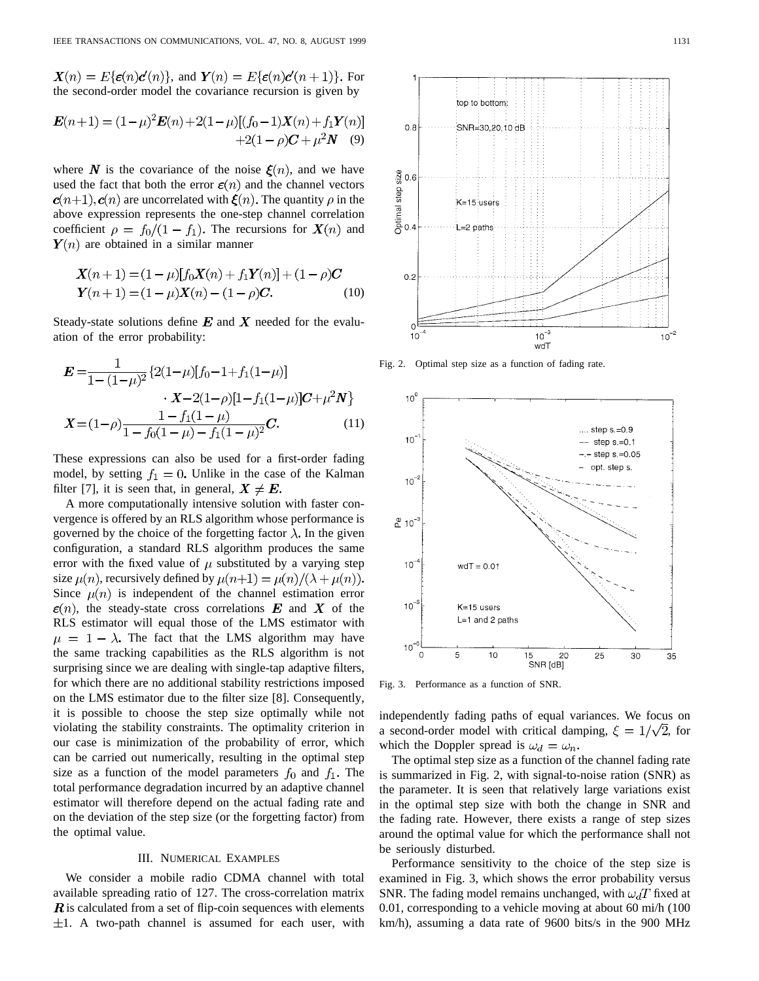$\mathbf{X}(n) = E\{\boldsymbol{\varepsilon}(n)\boldsymbol{c}'(n)\}\text{, and } \mathbf{Y}(n) = E\{\boldsymbol{\varepsilon}(n)\boldsymbol{c}'(n+1)\}\text{. For }$ the second-order model the covariance recursion is given by

$$
\mathbf{E}(n+1) = (1 - \mu)^2 \mathbf{E}(n) + 2(1 - \mu)[(f_0 - 1)\mathbf{X}(n) + f_1 \mathbf{Y}(n)]
$$
  
+2(1 - \rho)\mathbf{C} + \mu^2 \mathbf{N} (9)

where  $N$  is the covariance of the noise  $\xi(n)$ , and we have used the fact that both the error  $\varepsilon(n)$  and the channel vectors  $c(n+1), c(n)$  are uncorrelated with  $\mathcal{E}(n)$ . The quantity  $\rho$  in the above expression represents the one-step channel correlation coefficient  $\rho = f_0/(1 - f_1)$ . The recursions for  $\mathbf{X}(n)$  and  $\mathbf{Y}(n)$  are obtained in a similar manner

$$
X(n+1) = (1 - \mu)[f_0X(n) + f_1Y(n)] + (1 - \rho)C
$$
  
 
$$
Y(n+1) = (1 - \mu)X(n) - (1 - \rho)C.
$$
 (10)

Steady-state solutions define  $E$  and X needed for the evaluation of the error probability:

$$
\mathbf{E} = \frac{1}{1 - (1 - \mu)^2} \left\{ 2(1 - \mu)[f_0 - 1 + f_1(1 - \mu)] - \mathbf{X} - 2(1 - \rho)[1 - f_1(1 - \mu)]\mathbf{C} + \mu^2 \mathbf{N} \right\}
$$

$$
\mathbf{X} = (1 - \rho) \frac{1 - f_1(1 - \mu)}{1 - f_0(1 - \mu) - f_1(1 - \mu)^2} \mathbf{C}.
$$
(11)

These expressions can also be used for a first-order fading model, by setting  $f_1 = 0$ . Unlike in the case of the Kalman filter [7], it is seen that, in general,  $X \neq E$ .

A more computationally intensive solution with faster convergence is offered by an RLS algorithm whose performance is governed by the choice of the forgetting factor  $\lambda$ . In the given configuration, a standard RLS algorithm produces the same error with the fixed value of  $\mu$  substituted by a varying step size  $\mu(n)$ , recursively defined by  $\mu(n+1) = \mu(n)/(\lambda + \mu(n))$ . Since  $\mu(n)$  is independent of the channel estimation error  $\epsilon(n)$ , the steady-state cross correlations E and X of the RLS estimator will equal those of the LMS estimator with  $\mu = 1 - \lambda$ . The fact that the LMS algorithm may have the same tracking capabilities as the RLS algorithm is not surprising since we are dealing with single-tap adaptive filters, for which there are no additional stability restrictions imposed on the LMS estimator due to the filter size [8]. Consequently, it is possible to choose the step size optimally while not violating the stability constraints. The optimality criterion in our case is minimization of the probability of error, which can be carried out numerically, resulting in the optimal step size as a function of the model parameters  $f_0$  and  $f_1$ . The total performance degradation incurred by an adaptive channel estimator will therefore depend on the actual fading rate and on the deviation of the step size (or the forgetting factor) from the optimal value.

## III. NUMERICAL EXAMPLES

We consider a mobile radio CDMA channel with total available spreading ratio of 127. The cross-correlation matrix  $\bf{R}$  is calculated from a set of flip-coin sequences with elements  $\pm 1$ . A two-path channel is assumed for each user, with



Fig. 2. Optimal step size as a function of fading rate.



Fig. 3. Performance as a function of SNR.

independently fading paths of equal variances. We focus on a second-order model with critical damping,  $\xi = 1/\sqrt{2}$ , for which the Doppler spread is  $\omega_d = \omega_n$ .

The optimal step size as a function of the channel fading rate is summarized in Fig. 2, with signal-to-noise ration (SNR) as the parameter. It is seen that relatively large variations exist in the optimal step size with both the change in SNR and the fading rate. However, there exists a range of step sizes around the optimal value for which the performance shall not be seriously disturbed.

Performance sensitivity to the choice of the step size is examined in Fig. 3, which shows the error probability versus SNR. The fading model remains unchanged, with  $\omega_d T$  fixed at 0.01, corresponding to a vehicle moving at about 60 mi/h (100 km/h), assuming a data rate of 9600 bits/s in the 900 MHz